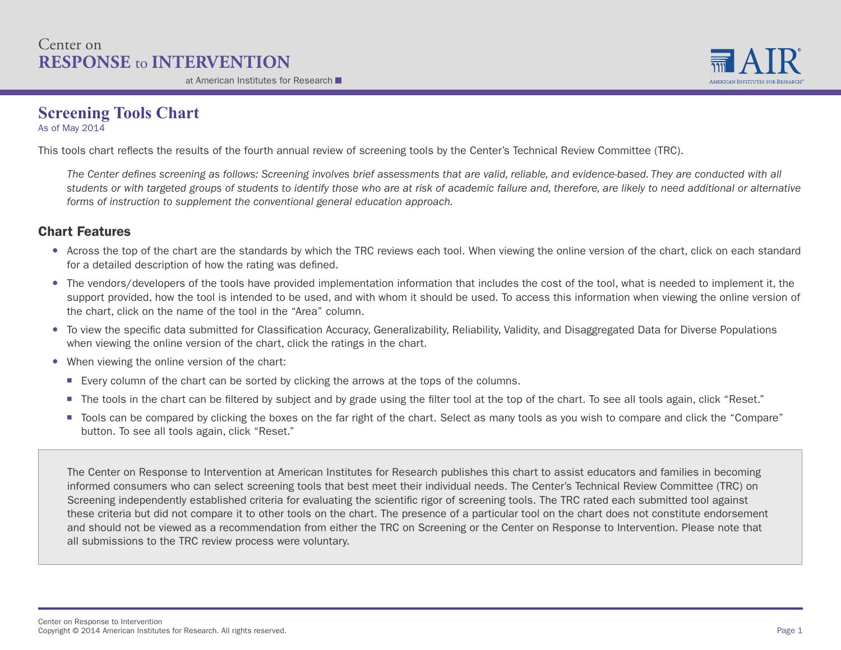### Center on **RESPONSE** to **INTERVENTION**

at American Institutes for Research



### **Screening Tools Chart**

As of May 2014

This tools chart reflects the results of the fourth annual review of screening tools by the Center's Technical Review Committee (TRC).

*The Center defines screening as follows: Screening involves brief assessments that are valid, reliable, and evidence-based. They are conducted with all students or with targeted groups of students to identify those who are at risk of academic failure and, therefore, are likely to need additional or alternative forms of instruction to supplement the conventional general education approach.*

#### Chart Features

- Across the top of the chart are the standards by which the TRC reviews each tool. When viewing the online version of the chart, click on each standard for a detailed description of how the rating was defined.
- The vendors/developers of the tools have provided implementation information that includes the cost of the tool, what is needed to implement it, the support provided, how the tool is intended to be used, and with whom it should be used. To access this information when viewing the online version of the chart, click on the name of the tool in the "Area" column.
- To view the specific data submitted for Classification Accuracy, Generalizability, Reliability, Validity, and Disaggregated Data for Diverse Populations when viewing the online version of the chart, click the ratings in the chart.
- When viewing the online version of the chart:
	- Every column of the chart can be sorted by clicking the arrows at the tops of the columns.
	- The tools in the chart can be filtered by subject and by grade using the filter tool at the top of the chart. To see all tools again, click "Reset."
	- Tools can be compared by clicking the boxes on the far right of the chart. Select as many tools as you wish to compare and click the "Compare" button. To see all tools again, click "Reset."

The Center on Response to Intervention at American Institutes for Research publishes this chart to assist educators and families in becoming informed consumers who can select screening tools that best meet their individual needs. The Center's Technical Review Committee (TRC) on Screening independently established criteria for evaluating the scientific rigor of screening tools. The TRC rated each submitted tool against these criteria but did not compare it to other tools on the chart. The presence of a particular tool on the chart does not constitute endorsement and should not be viewed as a recommendation from either the TRC on Screening or the Center on Response to Intervention. Please note that all submissions to the TRC review process were voluntary.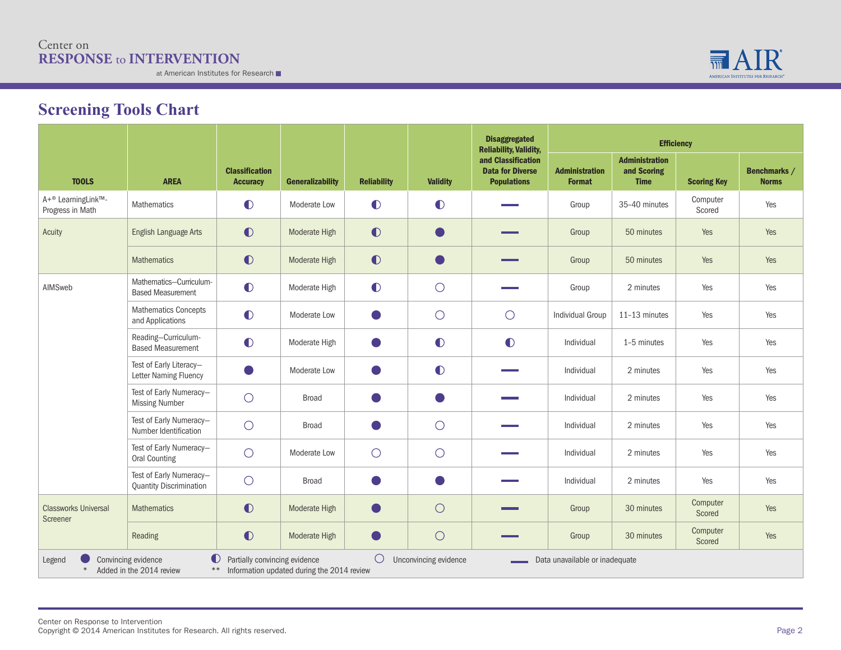#### Center on **RESPONSE** to **INTERVENTION**

at American Institutes for Research



# **Screening Tools Chart**

|                                                    |                                                              |                                          |                                            |                    |                       | <b>Disaggregated</b><br><b>Reliability, Validity,</b>               | <b>Efficiency</b>                      |                                                     |                    |                              |  |  |
|----------------------------------------------------|--------------------------------------------------------------|------------------------------------------|--------------------------------------------|--------------------|-----------------------|---------------------------------------------------------------------|----------------------------------------|-----------------------------------------------------|--------------------|------------------------------|--|--|
| <b>TOOLS</b>                                       | <b>AREA</b>                                                  | <b>Classification</b><br><b>Accuracy</b> | <b>Generalizability</b>                    | <b>Reliability</b> | <b>Validity</b>       | and Classification<br><b>Data for Diverse</b><br><b>Populations</b> | <b>Administration</b><br><b>Format</b> | <b>Administration</b><br>and Scoring<br><b>Time</b> | <b>Scoring Key</b> | Benchmarks /<br><b>Norms</b> |  |  |
| A+ <sup>®</sup> LearningLink™-<br>Progress in Math | Mathematics                                                  | $\bullet$                                | Moderate Low                               | $\bullet$          | $\bullet$             |                                                                     | Group                                  | 35-40 minutes                                       | Computer<br>Scored | Yes                          |  |  |
| Acuity                                             | English Language Arts                                        | $\bullet$                                | Moderate High                              | $\bullet$          | $\bullet$             |                                                                     | Group                                  | 50 minutes                                          | Yes                | Yes                          |  |  |
|                                                    | <b>Mathematics</b>                                           | $\bullet$                                | Moderate High                              | $\bullet$          | $\bullet$             |                                                                     | Group                                  | 50 minutes                                          | Yes                | Yes                          |  |  |
| AIMSweb                                            | Mathematics-Curriculum-<br><b>Based Measurement</b>          | $\bullet$                                | Moderate High                              | $\bullet$          | $\bigcirc$            |                                                                     | Group                                  | 2 minutes                                           | Yes                | Yes                          |  |  |
|                                                    | <b>Mathematics Concepts</b><br>and Applications              | $\bullet$                                | Moderate Low                               |                    | $\bigcirc$            | $\bigcirc$                                                          | Individual Group                       | 11-13 minutes                                       | Yes                | Yes                          |  |  |
|                                                    | Reading-Curriculum-<br><b>Based Measurement</b>              | $\bullet$                                | Moderate High                              |                    | $\bullet$             | $\bullet$                                                           | Individual                             | 1-5 minutes                                         | Yes                | Yes                          |  |  |
|                                                    | Test of Early Literacy-<br>Letter Naming Fluency             |                                          | Moderate Low                               |                    | $\bullet$             |                                                                     | Individual                             | 2 minutes                                           | Yes                | Yes                          |  |  |
|                                                    | Test of Early Numeracy-<br><b>Missing Number</b>             | $\bigcirc$                               | <b>Broad</b>                               |                    |                       |                                                                     | Individual                             | 2 minutes                                           | Yes                | Yes                          |  |  |
|                                                    | Test of Early Numeracy-<br>Number Identification             | $\bigcirc$                               | <b>Broad</b>                               |                    | $\bigcirc$            |                                                                     | Individual                             | 2 minutes                                           | Yes                | Yes                          |  |  |
|                                                    | Test of Early Numeracy-<br>Oral Counting                     | $\bigcirc$                               | Moderate Low                               | $\bigcirc$         | $\bigcirc$            |                                                                     | Individual                             | 2 minutes                                           | Yes                | Yes                          |  |  |
|                                                    | Test of Early Numeracy-<br><b>Quantity Discrimination</b>    | $\bigcirc$                               | <b>Broad</b>                               |                    |                       |                                                                     | Individual                             | 2 minutes                                           | Yes                | Yes                          |  |  |
| <b>Classworks Universal</b><br>Screener            | <b>Mathematics</b>                                           | $\bullet$                                | Moderate High                              |                    | $\bigcirc$            |                                                                     | Group                                  | 30 minutes                                          | Computer<br>Scored | Yes                          |  |  |
|                                                    | Reading                                                      | $\bullet$                                | Moderate High                              |                    | $\bigcirc$            |                                                                     | Group                                  | 30 minutes                                          | Computer<br>Scored | Yes                          |  |  |
| Legend<br>$*$                                      | $\bullet$<br>Convincing evidence<br>Added in the 2014 review | Partially convincing evidence<br>$***$   | Information updated during the 2014 review | $\bigcirc$         | Unconvincing evidence |                                                                     | Data unavailable or inadequate         |                                                     |                    |                              |  |  |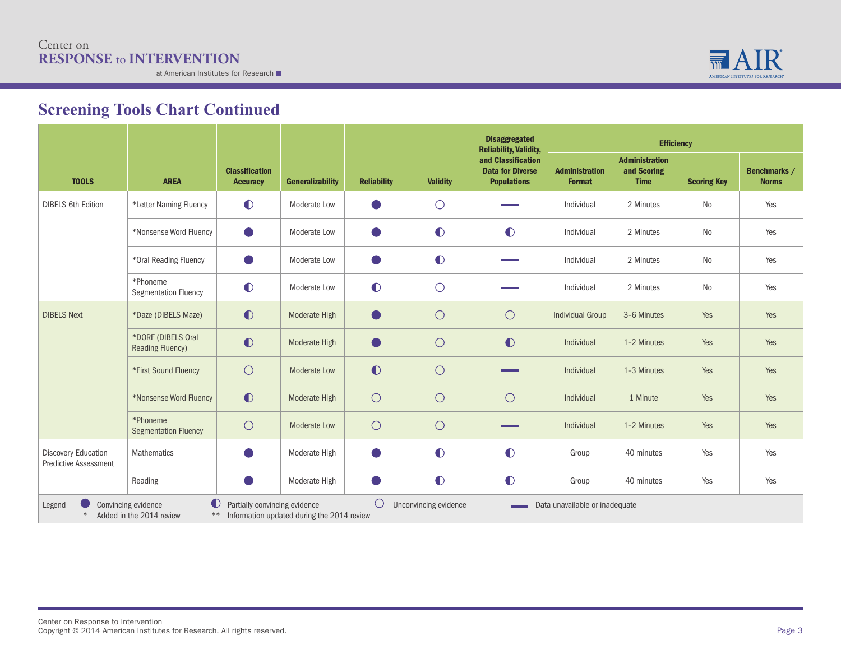

|                                                            |                                                                       |                                          |                                            |                    |                       | <b>Disaggregated</b><br><b>Reliability, Validity,</b>               | <b>Efficiency</b>                      |                                                     |                    |                              |
|------------------------------------------------------------|-----------------------------------------------------------------------|------------------------------------------|--------------------------------------------|--------------------|-----------------------|---------------------------------------------------------------------|----------------------------------------|-----------------------------------------------------|--------------------|------------------------------|
| <b>TOOLS</b>                                               | <b>AREA</b>                                                           | <b>Classification</b><br><b>Accuracy</b> | <b>Generalizability</b>                    | <b>Reliability</b> | <b>Validity</b>       | and Classification<br><b>Data for Diverse</b><br><b>Populations</b> | <b>Administration</b><br><b>Format</b> | <b>Administration</b><br>and Scoring<br><b>Time</b> | <b>Scoring Key</b> | Benchmarks /<br><b>Norms</b> |
| <b>DIBELS 6th Edition</b>                                  | *Letter Naming Fluency                                                | $\bullet$                                | Moderate Low                               |                    | $\bigcirc$            |                                                                     | Individual                             | 2 Minutes                                           | N <sub>o</sub>     | Yes                          |
|                                                            | *Nonsense Word Fluency                                                |                                          | Moderate Low                               |                    | $\bullet$             | $\bullet$                                                           | Individual                             | 2 Minutes                                           | N <sub>o</sub>     | Yes                          |
|                                                            | *Oral Reading Fluency                                                 |                                          | Moderate Low                               |                    | $\bullet$             |                                                                     | Individual                             | 2 Minutes                                           | No                 | Yes                          |
|                                                            | *Phoneme<br><b>Segmentation Fluency</b>                               | $\bullet$                                | Moderate Low                               | $\bullet$          | $\bigcirc$            |                                                                     | Individual                             | 2 Minutes                                           | No                 | Yes                          |
| <b>DIBELS Next</b>                                         | *Daze (DIBELS Maze)                                                   | $\bullet$                                | Moderate High                              |                    | $\bigcirc$            | $\bigcirc$                                                          | <b>Individual Group</b>                | 3-6 Minutes                                         | Yes                | Yes                          |
|                                                            | *DORF (DIBELS Oral<br><b>Reading Fluency)</b>                         | $\bullet$                                | Moderate High                              |                    | $\bigcirc$            | $\bullet$                                                           | Individual                             | 1-2 Minutes                                         | Yes                | Yes                          |
|                                                            | *First Sound Fluency                                                  | $\bigcirc$                               | <b>Moderate Low</b>                        | $\bullet$          | $\bigcirc$            |                                                                     | Individual                             | 1-3 Minutes                                         | Yes                | Yes                          |
|                                                            | *Nonsense Word Fluency                                                | $\bullet$                                | Moderate High                              | $\bigcirc$         | $\bigcirc$            | $\bigcirc$                                                          | Individual                             | 1 Minute                                            | Yes                | Yes                          |
|                                                            | *Phoneme<br><b>Segmentation Fluency</b>                               | $\bigcirc$                               | <b>Moderate Low</b>                        | $\bigcirc$         | $\bigcirc$            |                                                                     | Individual                             | 1-2 Minutes                                         | Yes                | Yes                          |
| <b>Discovery Education</b><br><b>Predictive Assessment</b> | Mathematics                                                           |                                          | Moderate High                              |                    | $\bullet$             | $\bullet$                                                           | Group                                  | 40 minutes                                          | Yes                | Yes                          |
|                                                            | Reading                                                               |                                          | Moderate High                              |                    | $\bullet$             | $\bullet$                                                           | Group                                  | 40 minutes                                          | Yes                | Yes                          |
| Legend                                                     | $\bullet$<br>Convincing evidence<br>Added in the 2014 review<br>$***$ | Partially convincing evidence            | Information updated during the 2014 review | $\bigcirc$         | Unconvincing evidence |                                                                     | Data unavailable or inadequate         |                                                     |                    |                              |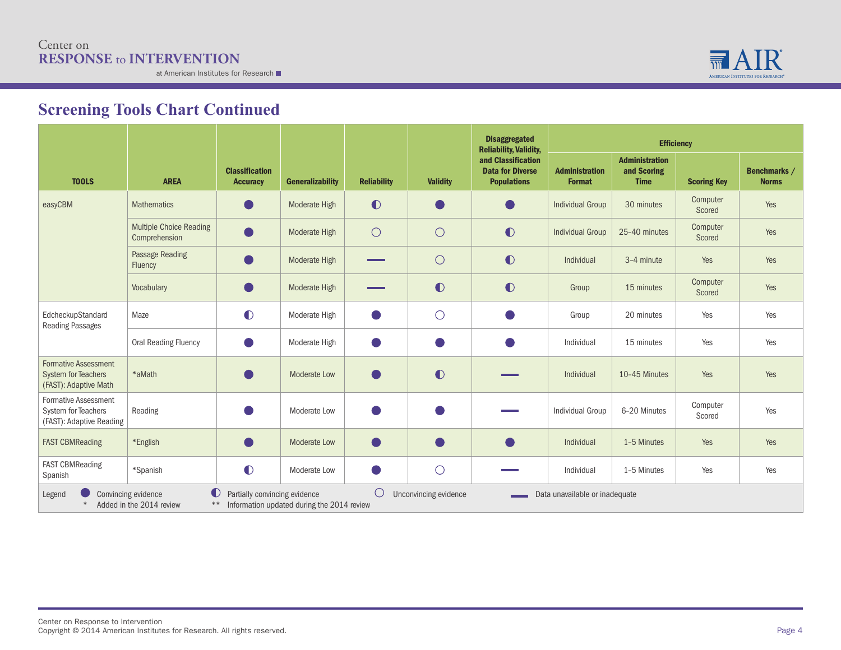

|                                                                                    |                                                 |                                                     |                                            |                    |                       | <b>Disaggregated</b><br><b>Reliability, Validity,</b>               | <b>Efficiency</b>                      |                                                     |                    |                              |
|------------------------------------------------------------------------------------|-------------------------------------------------|-----------------------------------------------------|--------------------------------------------|--------------------|-----------------------|---------------------------------------------------------------------|----------------------------------------|-----------------------------------------------------|--------------------|------------------------------|
| <b>TOOLS</b>                                                                       | <b>AREA</b>                                     | <b>Classification</b><br><b>Accuracy</b>            | <b>Generalizability</b>                    | <b>Reliability</b> | <b>Validity</b>       | and Classification<br><b>Data for Diverse</b><br><b>Populations</b> | <b>Administration</b><br><b>Format</b> | <b>Administration</b><br>and Scoring<br><b>Time</b> | <b>Scoring Key</b> | Benchmarks /<br><b>Norms</b> |
| easyCBM                                                                            | <b>Mathematics</b>                              |                                                     | Moderate High                              | $\bullet$          |                       |                                                                     | <b>Individual Group</b>                | 30 minutes                                          | Computer<br>Scored | Yes                          |
|                                                                                    | <b>Multiple Choice Reading</b><br>Comprehension | $\blacksquare$                                      | Moderate High                              | $\bigcirc$         | $\bigcirc$            | $\bullet$                                                           | <b>Individual Group</b>                | 25-40 minutes                                       | Computer<br>Scored | Yes                          |
|                                                                                    | Passage Reading<br>Fluency                      |                                                     | Moderate High                              |                    | $\bigcirc$            | $\bullet$                                                           | Individual                             | 3-4 minute                                          | Yes                | Yes                          |
|                                                                                    | Vocabulary                                      | $(\ )$                                              | Moderate High                              |                    | $\bullet$             | $\bullet$                                                           | Group                                  | 15 minutes                                          | Computer<br>Scored | Yes                          |
| EdcheckupStandard<br><b>Reading Passages</b>                                       | Maze                                            | $\bullet$                                           | Moderate High                              |                    | $\bigcirc$            |                                                                     | Group                                  | 20 minutes                                          | Yes                | Yes                          |
|                                                                                    | <b>Oral Reading Fluency</b>                     |                                                     | Moderate High                              |                    |                       |                                                                     | Individual                             | 15 minutes                                          | Yes                | Yes                          |
| <b>Formative Assessment</b><br><b>System for Teachers</b><br>(FAST): Adaptive Math | *aMath                                          |                                                     | Moderate Low                               |                    | $\bullet$             |                                                                     | Individual                             | 10-45 Minutes                                       | Yes                | Yes                          |
| <b>Formative Assessment</b><br>System for Teachers<br>(FAST): Adaptive Reading     | Reading                                         |                                                     | Moderate Low                               |                    |                       |                                                                     | <b>Individual Group</b>                | 6-20 Minutes                                        | Computer<br>Scored | Yes                          |
| <b>FAST CBMReading</b>                                                             | *English                                        |                                                     | <b>Moderate Low</b>                        |                    |                       | $\blacksquare$                                                      | Individual                             | 1-5 Minutes                                         | Yes                | Yes                          |
| <b>FAST CBMReading</b><br>Spanish                                                  | *Spanish                                        | $\bullet$                                           | Moderate Low                               |                    | $\bigcirc$            |                                                                     | Individual                             | 1-5 Minutes                                         | Yes                | Yes                          |
| Legend                                                                             | Convincing evidence<br>Added in the 2014 review | $\bullet$<br>Partially convincing evidence<br>$***$ | Information updated during the 2014 review | $\bigcirc$         | Unconvincing evidence |                                                                     | Data unavailable or inadequate         |                                                     |                    |                              |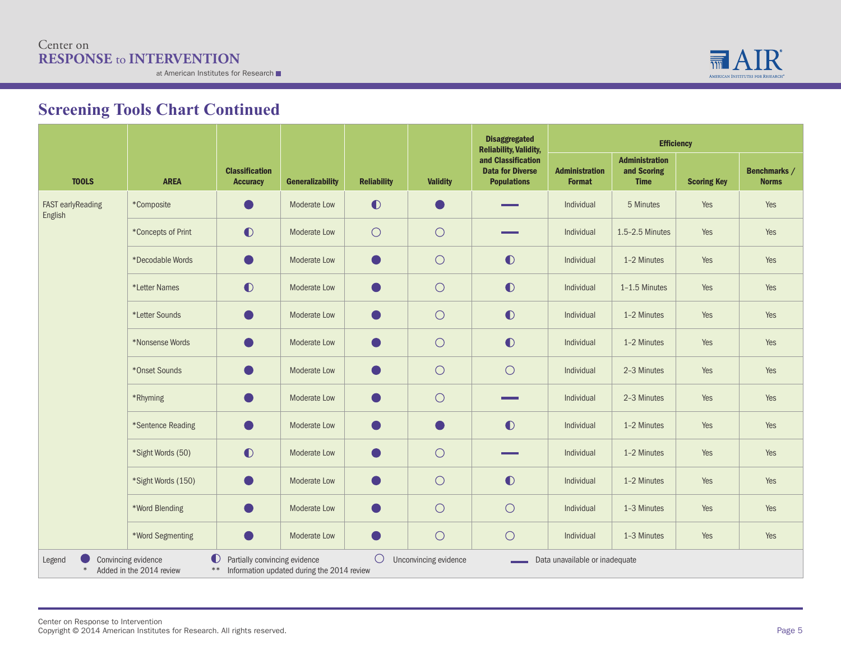

|                                      |                                                 |                                                          |                                            |                    |                       | <b>Disaggregated</b><br><b>Reliability, Validity,</b>               | <b>Efficiency</b>                      |                                                     |                    |                              |
|--------------------------------------|-------------------------------------------------|----------------------------------------------------------|--------------------------------------------|--------------------|-----------------------|---------------------------------------------------------------------|----------------------------------------|-----------------------------------------------------|--------------------|------------------------------|
| <b>TOOLS</b>                         | <b>AREA</b>                                     | <b>Classification</b><br><b>Accuracy</b>                 | <b>Generalizability</b>                    | <b>Reliability</b> | <b>Validity</b>       | and Classification<br><b>Data for Diverse</b><br><b>Populations</b> | <b>Administration</b><br><b>Format</b> | <b>Administration</b><br>and Scoring<br><b>Time</b> | <b>Scoring Key</b> | Benchmarks /<br><b>Norms</b> |
| <b>FAST early Reading</b><br>English | *Composite                                      |                                                          | Moderate Low                               | $\bullet$          | $\bullet$             |                                                                     | Individual                             | 5 Minutes                                           | Yes                | Yes                          |
|                                      | *Concepts of Print                              | $\bullet$                                                | Moderate Low                               | $\bigcirc$         | $\bigcirc$            |                                                                     | Individual                             | 1.5-2.5 Minutes                                     | Yes                | Yes                          |
|                                      | *Decodable Words                                |                                                          | <b>Moderate Low</b>                        | Ō,                 | $\bigcirc$            | $\bullet$                                                           | Individual                             | 1-2 Minutes                                         | Yes                | Yes                          |
|                                      | *Letter Names                                   | $\bullet$                                                | Moderate Low                               | O                  | $\bigcirc$            | $\bullet$                                                           | Individual                             | 1-1.5 Minutes                                       | Yes                | Yes                          |
|                                      | *Letter Sounds                                  |                                                          | Moderate Low                               | O)                 | $\bigcirc$            | $\bullet$                                                           | Individual                             | 1-2 Minutes                                         | Yes                | Yes                          |
|                                      | *Nonsense Words                                 |                                                          | Moderate Low                               |                    | $\bigcirc$            | $\bullet$                                                           | Individual                             | 1-2 Minutes                                         | Yes                | Yes                          |
|                                      | *Onset Sounds                                   | $\bullet$                                                | Moderate Low                               | $\blacksquare$     | $\bigcirc$            | $\bigcirc$                                                          | Individual                             | 2-3 Minutes                                         | Yes                | Yes                          |
|                                      | *Rhyming                                        |                                                          | Moderate Low                               |                    | $\bigcirc$            |                                                                     | Individual                             | 2-3 Minutes                                         | Yes                | Yes                          |
|                                      | *Sentence Reading                               | $\bullet$                                                | Moderate Low                               | Ð                  | $\bullet$             | $\bullet$                                                           | Individual                             | 1-2 Minutes                                         | Yes                | Yes                          |
|                                      | *Sight Words (50)                               | $\bullet$                                                | <b>Moderate Low</b>                        | - 1                | $\bigcirc$            |                                                                     | Individual                             | 1-2 Minutes                                         | Yes                | Yes                          |
|                                      | *Sight Words (150)                              |                                                          | Moderate Low                               | O)                 | $\bigcirc$            | $\bullet$                                                           | Individual                             | 1-2 Minutes                                         | Yes                | Yes                          |
|                                      | *Word Blending                                  |                                                          | Moderate Low                               | - 1                | $\bigcirc$            | $\bigcirc$                                                          | Individual                             | 1-3 Minutes                                         | Yes                | Yes                          |
|                                      | *Word Segmenting                                | Œ                                                        | Moderate Low                               | O                  | $\bigcirc$            | $\bigcirc$                                                          | Individual                             | 1-3 Minutes                                         | Yes                | Yes                          |
| Legend<br>$\ast$                     | Convincing evidence<br>Added in the 2014 review | $\bullet$<br>Partially convincing evidence<br>$\ast\ast$ | Information updated during the 2014 review | $\bigcirc$         | Unconvincing evidence |                                                                     | Data unavailable or inadequate         |                                                     |                    |                              |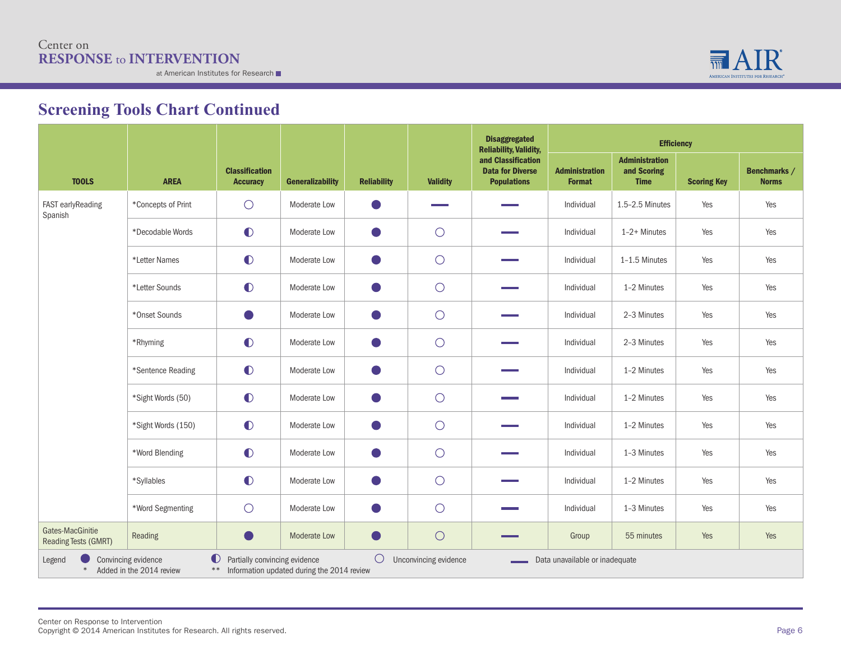

|                                                 |                                                 |                                                          |                                            |                    |                       | <b>Disaggregated</b><br><b>Reliability, Validity,</b>               | <b>Efficiency</b>                      |                                                     |                    |                              |  |  |
|-------------------------------------------------|-------------------------------------------------|----------------------------------------------------------|--------------------------------------------|--------------------|-----------------------|---------------------------------------------------------------------|----------------------------------------|-----------------------------------------------------|--------------------|------------------------------|--|--|
| <b>TOOLS</b>                                    | <b>AREA</b>                                     | <b>Classification</b><br><b>Accuracy</b>                 | <b>Generalizability</b>                    | <b>Reliability</b> | <b>Validity</b>       | and Classification<br><b>Data for Diverse</b><br><b>Populations</b> | <b>Administration</b><br><b>Format</b> | <b>Administration</b><br>and Scoring<br><b>Time</b> | <b>Scoring Key</b> | Benchmarks /<br><b>Norms</b> |  |  |
| FAST earlyReading<br>Spanish                    | *Concepts of Print                              | $\bigcirc$                                               | Moderate Low                               | O                  |                       |                                                                     | Individual                             | 1.5-2.5 Minutes                                     | Yes                | Yes                          |  |  |
|                                                 | *Decodable Words                                | $\bullet$                                                | Moderate Low                               | $\blacksquare$     | $\bigcirc$            |                                                                     | Individual                             | $1-2+$ Minutes                                      | Yes                | Yes                          |  |  |
|                                                 | *Letter Names                                   | $\bullet$                                                | Moderate Low                               | U)                 | $\bigcirc$            |                                                                     | Individual                             | 1-1.5 Minutes                                       | Yes                | Yes                          |  |  |
|                                                 | *Letter Sounds                                  | $\bullet$                                                | Moderate Low                               | $\Box$             | $\bigcirc$            |                                                                     | Individual                             | 1-2 Minutes                                         | Yes                | Yes                          |  |  |
|                                                 | *Onset Sounds                                   |                                                          | Moderate Low                               | $\bullet$          | $\bigcirc$            |                                                                     | Individual                             | 2-3 Minutes                                         | Yes                | Yes                          |  |  |
|                                                 | *Rhyming                                        | $\bullet$                                                | Moderate Low                               | $\bullet$          | $\bigcirc$            |                                                                     | Individual                             | 2-3 Minutes                                         | Yes                | Yes                          |  |  |
|                                                 | *Sentence Reading                               | $\bullet$                                                | Moderate Low                               | $\bullet$          | $\bigcirc$            |                                                                     | Individual                             | 1-2 Minutes                                         | Yes                | Yes                          |  |  |
|                                                 | *Sight Words (50)                               | $\bullet$                                                | Moderate Low                               |                    | $\bigcirc$            |                                                                     | Individual                             | 1-2 Minutes                                         | Yes                | Yes                          |  |  |
|                                                 | *Sight Words (150)                              | $\bullet$                                                | Moderate Low                               | $\Box$             | $\bigcirc$            |                                                                     | Individual                             | 1-2 Minutes                                         | Yes                | Yes                          |  |  |
|                                                 | *Word Blending                                  | $\bullet$                                                | Moderate Low                               |                    | $\bigcirc$            |                                                                     | Individual                             | 1-3 Minutes                                         | Yes                | Yes                          |  |  |
|                                                 | *Syllables                                      | $\bullet$                                                | Moderate Low                               | O                  | $\bigcirc$            |                                                                     | Individual                             | 1-2 Minutes                                         | Yes                | Yes                          |  |  |
|                                                 | *Word Segmenting                                | $\bigcirc$                                               | Moderate Low                               | u,                 | $\circ$               |                                                                     | Individual                             | 1-3 Minutes                                         | Yes                | Yes                          |  |  |
| Gates-MacGinitie<br><b>Reading Tests (GMRT)</b> | Reading                                         | $\blacksquare$                                           | Moderate Low                               | $\blacksquare$     | $\bigcirc$            |                                                                     | Group                                  | 55 minutes                                          | Yes                | Yes                          |  |  |
| Legend<br>$\ast$                                | Convincing evidence<br>Added in the 2014 review | $\bullet$<br>Partially convincing evidence<br>$\ast\ast$ | Information updated during the 2014 review | $\bigcirc$         | Unconvincing evidence |                                                                     | Data unavailable or inadequate         |                                                     |                    |                              |  |  |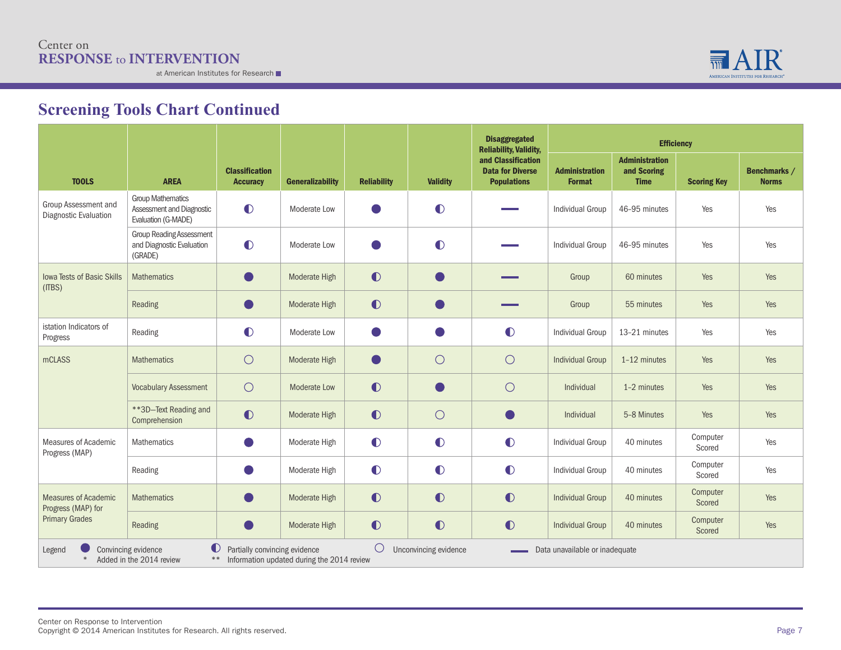

|                                                   |                                                                              |                                          |                                            |                    |                       | <b>Disaggregated</b><br><b>Reliability, Validity,</b>               | <b>Efficiency</b>                      |                                                     |                    |                              |
|---------------------------------------------------|------------------------------------------------------------------------------|------------------------------------------|--------------------------------------------|--------------------|-----------------------|---------------------------------------------------------------------|----------------------------------------|-----------------------------------------------------|--------------------|------------------------------|
| <b>TOOLS</b>                                      | <b>AREA</b>                                                                  | <b>Classification</b><br><b>Accuracy</b> | <b>Generalizability</b>                    | <b>Reliability</b> | <b>Validity</b>       | and Classification<br><b>Data for Diverse</b><br><b>Populations</b> | <b>Administration</b><br><b>Format</b> | <b>Administration</b><br>and Scoring<br><b>Time</b> | <b>Scoring Key</b> | Benchmarks /<br><b>Norms</b> |
| Group Assessment and<br>Diagnostic Evaluation     | <b>Group Mathematics</b><br>Assessment and Diagnostic<br>Evaluation (G-MADE) | $\bullet$                                | Moderate Low                               |                    | $\bullet$             |                                                                     | <b>Individual Group</b>                | 46-95 minutes                                       | Yes                | Yes                          |
|                                                   | <b>Group Reading Assessment</b><br>and Diagnostic Evaluation<br>(GRADE)      | $\bullet$                                | Moderate Low                               |                    | $\bullet$             |                                                                     | <b>Individual Group</b>                | 46-95 minutes                                       | Yes                | Yes                          |
| <b>Iowa Tests of Basic Skills</b><br>(ITBS)       | <b>Mathematics</b>                                                           | $\blacksquare$                           | Moderate High                              | $\bullet$          |                       |                                                                     | Group                                  | 60 minutes                                          | Yes                | Yes                          |
|                                                   | Reading                                                                      |                                          | Moderate High                              | $\bullet$          |                       |                                                                     | Group                                  | 55 minutes                                          | Yes                | Yes                          |
| istation Indicators of<br>Progress                | Reading                                                                      | $\bullet$                                | Moderate Low                               |                    |                       | $\bullet$                                                           | <b>Individual Group</b>                | 13-21 minutes                                       | Yes                | Yes                          |
| mCLASS                                            | <b>Mathematics</b>                                                           | $\bigcirc$                               | Moderate High                              |                    | $\bigcirc$            | $\bigcirc$                                                          | <b>Individual Group</b>                | 1-12 minutes                                        | Yes                | Yes                          |
|                                                   | <b>Vocabulary Assessment</b>                                                 | $\bigcirc$                               | <b>Moderate Low</b>                        | $\bullet$          | $\blacksquare$        | $\bigcirc$                                                          | Individual                             | 1-2 minutes                                         | Yes                | Yes                          |
|                                                   | ** 3D-Text Reading and<br>Comprehension                                      | $\bullet$                                | Moderate High                              | $\bullet$          | $\bigcirc$            |                                                                     | Individual                             | 5-8 Minutes                                         | Yes                | Yes                          |
| <b>Measures of Academic</b><br>Progress (MAP)     | <b>Mathematics</b>                                                           |                                          | Moderate High                              | $\bullet$          | $\bullet$             | $\bullet$                                                           | <b>Individual Group</b>                | 40 minutes                                          | Computer<br>Scored | Yes                          |
|                                                   | Reading                                                                      |                                          | Moderate High                              | $\bullet$          | $\bullet$             | $\bullet$                                                           | <b>Individual Group</b>                | 40 minutes                                          | Computer<br>Scored | Yes                          |
| <b>Measures of Academic</b><br>Progress (MAP) for | <b>Mathematics</b>                                                           |                                          | Moderate High                              | $\bullet$          | $\bullet$             | $\bullet$                                                           | <b>Individual Group</b>                | 40 minutes                                          | Computer<br>Scored | Yes                          |
| <b>Primary Grades</b>                             | Reading                                                                      |                                          | Moderate High                              | $\bullet$          | $\bullet$             | $\bullet$                                                           | <b>Individual Group</b>                | 40 minutes                                          | Computer<br>Scored | Yes                          |
| Legend<br>$*$                                     | $\bullet$<br>Convincing evidence<br>Added in the 2014 review                 | Partially convincing evidence<br>$***$   | Information updated during the 2014 review | $\bigcirc$         | Unconvincing evidence |                                                                     | Data unavailable or inadequate         |                                                     |                    |                              |